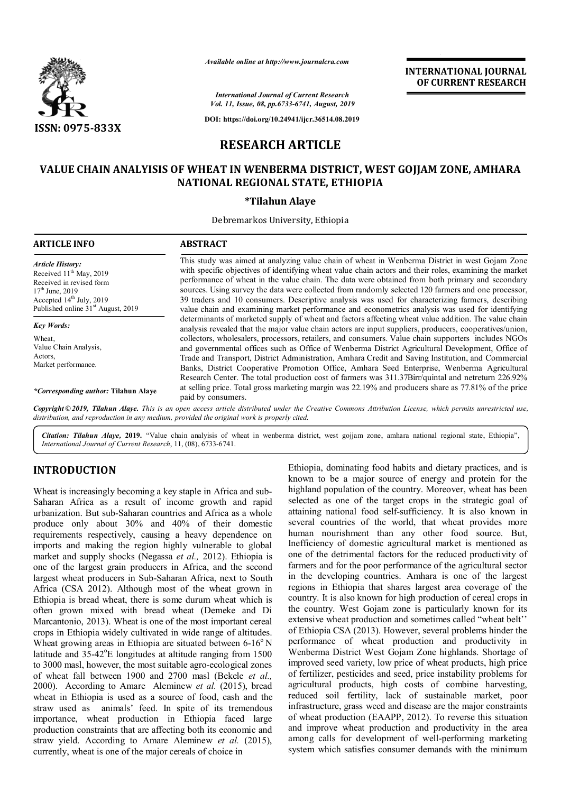

*Available online at http://www.journalcra.com*

*International Journal of Current Research Vol. 11, Issue, 08, pp.6733-6741, August, 2019*

**DOI: https://doi.org/10.24941/ijcr.36514.08.2019**

# **INTERNATIONAL JOURNAL OF CURRENT RESEARCH**

# **RESEARCH ARTICLE**

# **VALUE CHAIN ANALYISIS OF WHEAT IN WENBERMA DISTRICT, WEST GOJJAM ZONE, AMHARA NATIONAL REGIONAL STATE, ETHIOPIA**

### **\*Tilahun Alaye**

Debremarkos University, Ethiopia

| <b>ARTICLE INFO</b>                                                                                                                                                                             | <b>ABSTRACT</b>                                                                                                                                                                                                                                                                                                                                                                                                                                                                                                                                                                                                            |
|-------------------------------------------------------------------------------------------------------------------------------------------------------------------------------------------------|----------------------------------------------------------------------------------------------------------------------------------------------------------------------------------------------------------------------------------------------------------------------------------------------------------------------------------------------------------------------------------------------------------------------------------------------------------------------------------------------------------------------------------------------------------------------------------------------------------------------------|
| <b>Article History:</b><br>Received 11 <sup>th</sup> May, 2019<br>Received in revised form<br>$17th$ June, 2019<br>Accepted $14th$ July, 2019<br>Published online 31 <sup>st</sup> August, 2019 | This study was aimed at analyzing value chain of wheat in Wenberma District in west Gojam Zone<br>with specific objectives of identifying wheat value chain actors and their roles, examining the market<br>performance of wheat in the value chain. The data were obtained from both primary and secondary<br>sources. Using survey the data were collected from randomly selected 120 farmers and one processor,<br>39 traders and 10 consumers. Descriptive analysis was used for characterizing farmers, describing<br>value chain and examining market performance and econometrics analysis was used for identifying |
| <b>Key Words:</b>                                                                                                                                                                               | determinants of marketed supply of wheat and factors affecting wheat value addition. The value chain<br>analysis revealed that the major value chain actors are input suppliers, producers, cooperatives/union,                                                                                                                                                                                                                                                                                                                                                                                                            |
| Wheat,<br>Value Chain Analysis,<br>Actors.<br>Market performance.                                                                                                                               | collectors, wholesalers, processors, retailers, and consumers. Value chain supporters includes NGOs<br>and governmental offices such as Office of Wenberma District Agricultural Development, Office of<br>Trade and Transport, District Administration, Amhara Credit and Saving Institution, and Commercial<br>Banks, District Cooperative Promotion Office, Amhara Seed Enterprise, Wenberma Agricultural<br>Research Center. The total production cost of farmers was 311.37Birr/quintal and netreturn 226.92%                                                                                                         |
| <i>*Corresponding author:</i> Tilahun Alaye                                                                                                                                                     | at selling price. Total gross marketing margin was 22.19% and producers share as 77.81% of the price<br>paid by consumers.                                                                                                                                                                                                                                                                                                                                                                                                                                                                                                 |
|                                                                                                                                                                                                 | Copyright © 2019, Tilahun Alaye. This is an open access article distributed under the Creative Commons Attribution License, which permits unrestricted use,<br>distribution, and reproduction in any medium, provided the original work is properly cited.                                                                                                                                                                                                                                                                                                                                                                 |

*Citation: Tilahun Alaye,* **2019.** "Value chain analyisis of wheat in wenberma district, west gojjam zone, amhara national regional state, Ethiopia", *International Journal of Current Research*, 11, (08), 6733-6741.

# **INTRODUCTION**

Wheat is increasingly becoming a key staple in Africa and sub-Saharan Africa as a result of income growth and rapid urbanization. But sub-Saharan countries and Africa as a whole produce only about 30% and 40% of their domestic requirements respectively, causing a heavy dependence on imports and making the region highly vulnerable to global market and supply shocks (Negassa *et al.,* 2012). Ethiopia is one of the largest grain producers in Africa, and the second largest wheat producers in Sub-Saharan Africa, next to South Africa (CSA 2012). Although most of the wheat grown in Ethiopia is bread wheat, there is some durum wheat which is often grown mixed with bread wheat (Demeke and Di Marcantonio, 2013). Wheat is one of the most important cereal crops in Ethiopia widely cultivated in wide range of altitudes. Wheat growing areas in Ethiopia are situated between  $6-16^{\circ}$  N latitude and 35-42°E longitudes at altitude ranging from 1500 to 3000 masl, however, the most suitable agro-ecological zones of wheat fall between 1900 and 2700 masl (Bekele *et al.,*  2000). According to Amare Aleminew *et al.* (2015), bread wheat in Ethiopia is used as a source of food, cash and the straw used as animals' feed. In spite of its tremendous importance, wheat production in Ethiopia faced large production constraints that are affecting both its economic and straw yield. According to Amare Aleminew *et al.* (2015), currently, wheat is one of the major cereals of choice in

Ethiopia, dominating food habits and dietary practices, and is known to be a major source of energy and protein for the highland population of the country. Moreover, wheat has been selected as one of the target crops in the strategic goal of attaining national food self-sufficiency. It is also known in several countries of the world, that wheat provides more human nourishment than any other food source. But, Inefficiency of domestic agricultural market is mentioned as one of the detrimental factors for the reduced productivity of farmers and for the poor performance of the agricultural sector in the developing countries. Amhara is one of the largest regions in Ethiopia that shares largest area coverage of the country. It is also known for high production of cereal crops in the country. West Gojam zone is particularly known for its extensive wheat production and sometimes called "wheat belt'' of Ethiopia CSA (2013). However, several problems hinder the performance of wheat production and productivity in Wenberma District West Gojam Zone highlands. Shortage of improved seed variety, low price of wheat products, high price of fertilizer, pesticides and seed, price instability problems for agricultural products, high costs of combine harvesting, reduced soil fertility, lack of sustainable market, poor infrastructure, grass weed and disease are the major constraints of wheat production (EAAPP, 2012). To reverse this situation and improve wheat production and productivity in the area among calls for development of well-performing marketing system which satisfies consumer demands with the minimum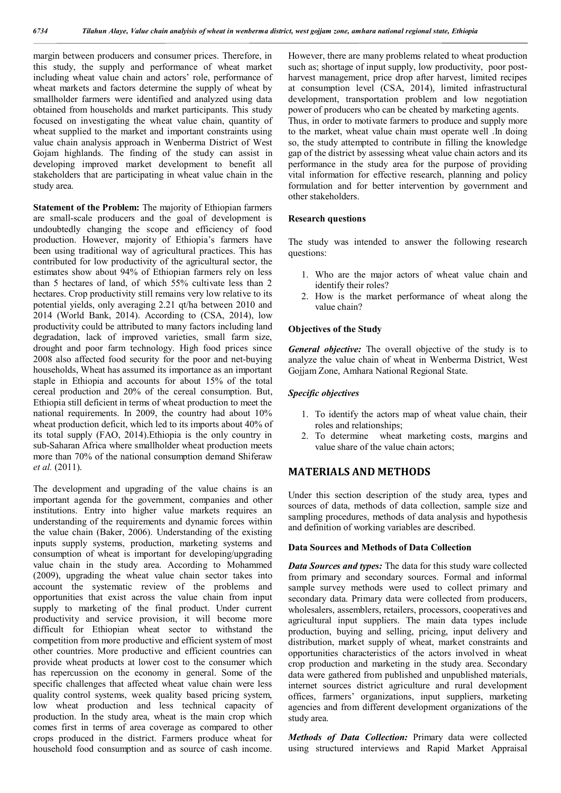margin between producers and consumer prices. Therefore, in this study, the supply and performance of wheat market including wheat value chain and actors' role, performance of wheat markets and factors determine the supply of wheat by smallholder farmers were identified and analyzed using data obtained from households and market participants. This study focused on investigating the wheat value chain, quantity of wheat supplied to the market and important constraints using value chain analysis approach in Wenberma District of West Gojam highlands. The finding of the study can assist in developing improved market development to benefit all stakeholders that are participating in wheat value chain in the study area.

**Statement of the Problem:** The majority of Ethiopian farmers are small-scale producers and the goal of development is undoubtedly changing the scope and efficiency of food production. However, majority of Ethiopia's farmers have been using traditional way of agricultural practices. This has contributed for low productivity of the agricultural sector, the estimates show about 94% of Ethiopian farmers rely on less than 5 hectares of land, of which 55% cultivate less than 2 hectares. Crop productivity still remains very low relative to its potential yields, only averaging 2.21 qt/ha between 2010 and 2014 (World Bank, 2014). According to (CSA, 2014), low productivity could be attributed to many factors including land degradation, lack of improved varieties, small farm size, drought and poor farm technology. High food prices since 2008 also affected food security for the poor and net-buying households, Wheat has assumed its importance as an important staple in Ethiopia and accounts for about 15% of the total cereal production and 20% of the cereal consumption. But, Ethiopia still deficient in terms of wheat production to meet the national requirements. In 2009, the country had about 10% wheat production deficit, which led to its imports about 40% of its total supply (FAO, 2014).Ethiopia is the only country in sub-Saharan Africa where smallholder wheat production meets more than 70% of the national consumption demand Shiferaw *et al.* (2011).

The development and upgrading of the value chains is an important agenda for the government, companies and other institutions. Entry into higher value markets requires an understanding of the requirements and dynamic forces within the value chain (Baker, 2006). Understanding of the existing inputs supply systems, production, marketing systems and consumption of wheat is important for developing/upgrading value chain in the study area. According to Mohammed (2009), upgrading the wheat value chain sector takes into account the systematic review of the problems and opportunities that exist across the value chain from input supply to marketing of the final product. Under current productivity and service provision, it will become more difficult for Ethiopian wheat sector to withstand the competition from more productive and efficient system of most other countries. More productive and efficient countries can provide wheat products at lower cost to the consumer which has repercussion on the economy in general. Some of the specific challenges that affected wheat value chain were less quality control systems, week quality based pricing system, low wheat production and less technical capacity of production. In the study area, wheat is the main crop which comes first in terms of area coverage as compared to other crops produced in the district. Farmers produce wheat for household food consumption and as source of cash income.

However, there are many problems related to wheat production such as; shortage of input supply, low productivity, poor postharvest management, price drop after harvest, limited recipes at consumption level (CSA, 2014), limited infrastructural development, transportation problem and low negotiation power of producers who can be cheated by marketing agents. Thus, in order to motivate farmers to produce and supply more to the market, wheat value chain must operate well .In doing so, the study attempted to contribute in filling the knowledge gap of the district by assessing wheat value chain actors and its performance in the study area for the purpose of providing vital information for effective research, planning and policy formulation and for better intervention by government and

#### **Research questions**

other stakeholders.

The study was intended to answer the following research questions:

- 1. Who are the major actors of wheat value chain and identify their roles?
- 2. How is the market performance of wheat along the value chain?

#### **Objectives of the Study**

*General objective:* The overall objective of the study is to analyze the value chain of wheat in Wenberma District, West Gojjam Zone, Amhara National Regional State.

#### *Specific objectives*

- 1. To identify the actors map of wheat value chain, their roles and relationships;
- 2. To determine wheat marketing costs, margins and value share of the value chain actors;

## **MATERIALS AND METHODS**

Under this section description of the study area, types and sources of data, methods of data collection, sample size and sampling procedures, methods of data analysis and hypothesis and definition of working variables are described.

#### **Data Sources and Methods of Data Collection**

*Data Sources and types:* The data for this study ware collected from primary and secondary sources. Formal and informal sample survey methods were used to collect primary and secondary data. Primary data were collected from producers, wholesalers, assemblers, retailers, processors, cooperatives and agricultural input suppliers. The main data types include production, buying and selling, pricing, input delivery and distribution, market supply of wheat, market constraints and opportunities characteristics of the actors involved in wheat crop production and marketing in the study area. Secondary data were gathered from published and unpublished materials, internet sources district agriculture and rural development offices, farmers' organizations, input suppliers, marketing agencies and from different development organizations of the study area.

*Methods of Data Collection:* Primary data were collected using structured interviews and Rapid Market Appraisal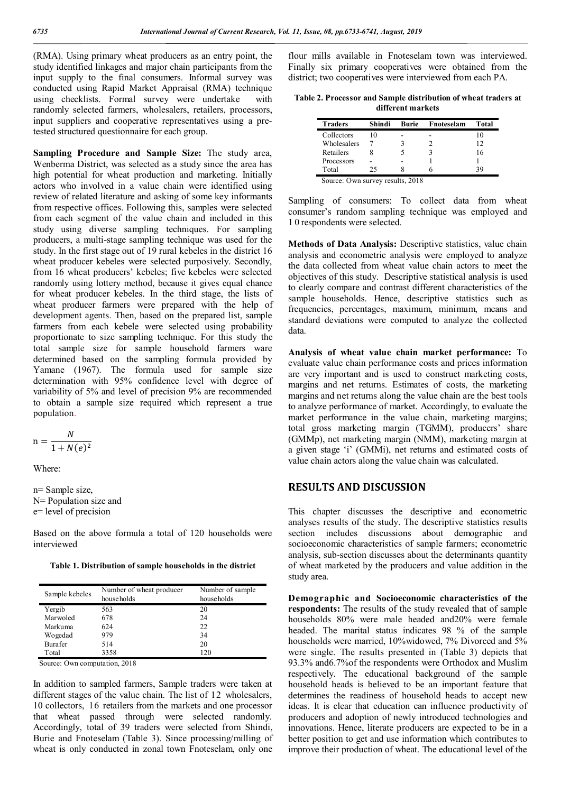(RMA). Using primary wheat producers as an entry point, the study identified linkages and major chain participants from the input supply to the final consumers. Informal survey was conducted using Rapid Market Appraisal (RMA) technique using checklists. Formal survey were undertake with randomly selected farmers, wholesalers, retailers, processors, input suppliers and cooperative representatives using a pretested structured questionnaire for each group.

**Sampling Procedure and Sample Size:** The study area, Wenberma District, was selected as a study since the area has high potential for wheat production and marketing. Initially actors who involved in a value chain were identified using review of related literature and asking of some key informants from respective offices. Following this, samples were selected from each segment of the value chain and included in this study using diverse sampling techniques. For sampling producers, a multi-stage sampling technique was used for the study. In the first stage out of 19 rural kebeles in the district 16 wheat producer kebeles were selected purposively. Secondly, from 16 wheat producers' kebeles; five kebeles were selected randomly using lottery method, because it gives equal chance for wheat producer kebeles. In the third stage, the lists of wheat producer farmers were prepared with the help of development agents. Then, based on the prepared list, sample farmers from each kebele were selected using probability proportionate to size sampling technique. For this study the total sample size for sample household farmers ware determined based on the sampling formula provided by Yamane (1967). The formula used for sample size determination with 95% confidence level with degree of variability of 5% and level of precision 9% are recommended to obtain a sample size required which represent a true population.

$$
n = \frac{N}{1 + N(e)^2}
$$

Where:

n= Sample size, N= Population size and e= level of precision

Based on the above formula a total of 120 households were interviewed

**Table 1. Distribution of sample households in the district**

| Sample kebeles | Number of wheat producer<br>households | Number of sample<br>households |
|----------------|----------------------------------------|--------------------------------|
| Yergib         | 563                                    | 20                             |
| Marwoled       | 678                                    | 24                             |
| Markuma        | 624                                    | 22                             |
| Wogedad        | 979                                    | 34                             |
| Burafer        | 514                                    | 20                             |
| Total          | 3358                                   | 120                            |

Source: Own computation, 2018

In addition to sampled farmers, Sample traders were taken at different stages of the value chain. The list of 12 wholesalers, 10 collectors, 16 retailers from the markets and one processor that wheat passed through were selected randomly. Accordingly, total of 39 traders were selected from Shindi, Burie and Fnoteselam (Table 3). Since processing/milling of wheat is only conducted in zonal town Fnoteselam, only one

flour mills available in Fnoteselam town was interviewed. Finally six primary cooperatives were obtained from the district; two cooperatives were interviewed from each PA.

| Table 2. Processor and Sample distribution of wheat traders at |  |
|----------------------------------------------------------------|--|
| different markets                                              |  |

| <b>Traders</b>                   | Shindi | <b>Burie</b> | Fnoteselam | Total |
|----------------------------------|--------|--------------|------------|-------|
| Collectors                       | 10     |              |            |       |
| Wholesalers                      |        |              |            | 12    |
| Retailers                        |        |              |            | 16    |
| Processors                       |        |              |            |       |
| Total                            | 25     |              |            |       |
| Source: Own survey results, 2018 |        |              |            |       |

Sampling of consumers: To collect data from wheat consumer's random sampling technique was employed and 1 0 respondents were selected.

**Methods of Data Analysis:** Descriptive statistics, value chain analysis and econometric analysis were employed to analyze the data collected from wheat value chain actors to meet the objectives of this study. Descriptive statistical analysis is used to clearly compare and contrast different characteristics of the sample households. Hence, descriptive statistics such as frequencies, percentages, maximum, minimum, means and standard deviations were computed to analyze the collected data.

**Analysis of wheat value chain market performance:** To evaluate value chain performance costs and prices information are very important and is used to construct marketing costs, margins and net returns. Estimates of costs, the marketing margins and net returns along the value chain are the best tools to analyze performance of market. Accordingly, to evaluate the market performance in the value chain, marketing margins; total gross marketing margin (TGMM), producers' share (GMMp), net marketing margin (NMM), marketing margin at a given stage 'i' (GMMi), net returns and estimated costs of value chain actors along the value chain was calculated.

# **RESULTS AND DISCUSSION**

This chapter discusses the descriptive and econometric analyses results of the study. The descriptive statistics results section includes discussions about demographic and socioeconomic characteristics of sample farmers; econometric analysis, sub-section discusses about the determinants quantity of wheat marketed by the producers and value addition in the study area.

**Demographic and Socioeconomic characteristics of the respondents:** The results of the study revealed that of sample households 80% were male headed and20% were female headed. The marital status indicates 98 % of the sample households were married, 10%widowed, 7% Divorced and 5% were single. The results presented in (Table 3) depicts that 93.3% and6.7%of the respondents were Orthodox and Muslim respectively. The educational background of the sample household heads is believed to be an important feature that determines the readiness of household heads to accept new ideas. It is clear that education can influence productivity of producers and adoption of newly introduced technologies and innovations. Hence, literate producers are expected to be in a better position to get and use information which contributes to improve their production of wheat. The educational level of the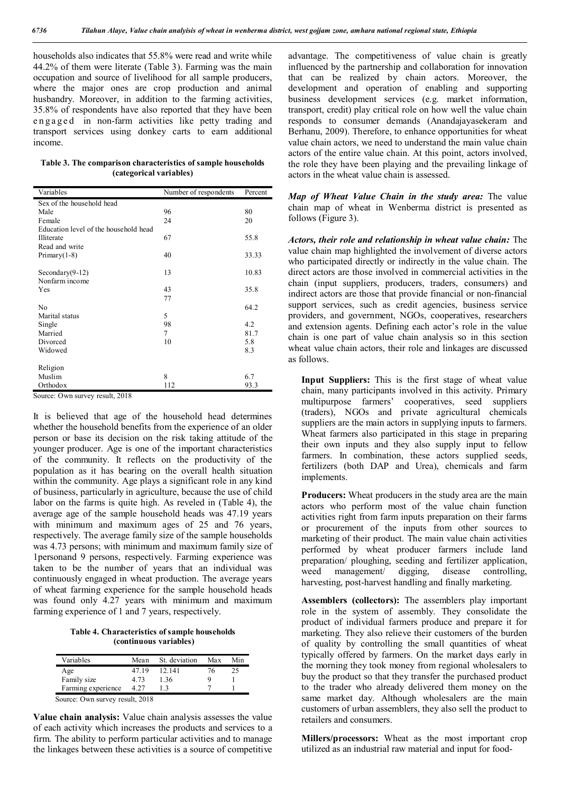households also indicates that 55.8% were read and write while 44.2% of them were literate (Table 3). Farming was the main occupation and source of livelihood for all sample producers, where the major ones are crop production and animal husbandry. Moreover, in addition to the farming activities, 35.8% of respondents have also reported that they have been engaged in non-farm activities like petty trading and transport services using donkey carts to earn additional income.

**Table 3. The comparison characteristics of sample households (categorical variables)**

| Variables                             | Number of respondents | Percent |
|---------------------------------------|-----------------------|---------|
| Sex of the household head             |                       |         |
| Male                                  | 96                    | 80      |
| Female                                | 24                    | 20      |
| Education level of the household head |                       |         |
| Illiterate                            | 67                    | 55.8    |
| Read and write                        |                       |         |
| Primary $(1-8)$                       | 40                    | 33.33   |
|                                       |                       |         |
| Secondary $(9-12)$                    | 13                    | 10.83   |
| Nonfarm income                        |                       |         |
| Yes                                   | 43                    | 35.8    |
|                                       | 77                    |         |
| No                                    |                       | 64.2    |
| Marital status                        | 5                     |         |
| Single                                | 98                    | 4.2     |
| Married                               | 7                     | 81.7    |
| Divorced                              | 10                    | 5.8     |
| Widowed                               |                       | 8.3     |
|                                       |                       |         |
| Religion                              |                       |         |
| Muslim                                | 8                     | 6.7     |
| Orthodox                              | 112                   | 93.3    |

Source: Own survey result, 2018

It is believed that age of the household head determines whether the household benefits from the experience of an older person or base its decision on the risk taking attitude of the younger producer. Age is one of the important characteristics of the community. It reflects on the productivity of the population as it has bearing on the overall health situation within the community. Age plays a significant role in any kind of business, particularly in agriculture, because the use of child labor on the farms is quite high. As reveled in (Table 4), the average age of the sample household heads was 47.19 years with minimum and maximum ages of 25 and 76 years, respectively. The average family size of the sample households was 4.73 persons; with minimum and maximum family size of 1personand 9 persons, respectively. Farming experience was taken to be the number of years that an individual was continuously engaged in wheat production. The average years of wheat farming experience for the sample household heads was found only 4.27 years with minimum and maximum farming experience of 1 and 7 years, respectively.

**Table 4. Characteristics of sample households (continuous variables)**

| Variables          | Mean   | St. deviation | Max | Min |
|--------------------|--------|---------------|-----|-----|
| Age                | 47 19  | 12.141        | 76  | 25  |
| Family size        | 4 73   | 136           |     |     |
| Farming experience | 4 27   |               |     |     |
| ⌒                  | 1.0010 |               |     |     |

Source: Own survey result, 2018

**Value chain analysis:** Value chain analysis assesses the value of each activity which increases the products and services to a firm. The ability to perform particular activities and to manage the linkages between these activities is a source of competitive

advantage. The competitiveness of value chain is greatly influenced by the partnership and collaboration for innovation that can be realized by chain actors. Moreover, the development and operation of enabling and supporting business development services (e.g. market information, transport, credit) play critical role on how well the value chain responds to consumer demands (Anandajayasekeram and Berhanu, 2009). Therefore, to enhance opportunities for wheat value chain actors, we need to understand the main value chain actors of the entire value chain. At this point, actors involved, the role they have been playing and the prevailing linkage of actors in the wheat value chain is assessed.

*Map of Wheat Value Chain in the study area:* The value chain map of wheat in Wenberma district is presented as follows (Figure 3).

*Actors, their role and relationship in wheat value chain:* The value chain map highlighted the involvement of diverse actors who participated directly or indirectly in the value chain. The direct actors are those involved in commercial activities in the chain (input suppliers, producers, traders, consumers) and indirect actors are those that provide financial or non-financial support services, such as credit agencies, business service providers, and government, NGOs, cooperatives, researchers and extension agents. Defining each actor's role in the value chain is one part of value chain analysis so in this section wheat value chain actors, their role and linkages are discussed as follows.

**Input Suppliers:** This is the first stage of wheat value chain, many participants involved in this activity. Primary multipurpose farmers' cooperatives, seed suppliers (traders), NGOs and private agricultural chemicals suppliers are the main actors in supplying inputs to farmers. Wheat farmers also participated in this stage in preparing their own inputs and they also supply input to fellow farmers. In combination, these actors supplied seeds, fertilizers (both DAP and Urea), chemicals and farm implements.

**Producers:** Wheat producers in the study area are the main actors who perform most of the value chain function activities right from farm inputs preparation on their farms or procurement of the inputs from other sources to marketing of their product. The main value chain activities performed by wheat producer farmers include land preparation/ ploughing, seeding and fertilizer application, weed management/ digging, disease controlling, harvesting, post-harvest handling and finally marketing.

**Assemblers (collectors):** The assemblers play important role in the system of assembly. They consolidate the product of individual farmers produce and prepare it for marketing. They also relieve their customers of the burden of quality by controlling the small quantities of wheat typically offered by farmers. On the market days early in the morning they took money from regional wholesalers to buy the product so that they transfer the purchased product to the trader who already delivered them money on the same market day. Although wholesalers are the main customers of urban assemblers, they also sell the product to retailers and consumers.

**Millers/processors:** Wheat as the most important crop utilized as an industrial raw material and input for food-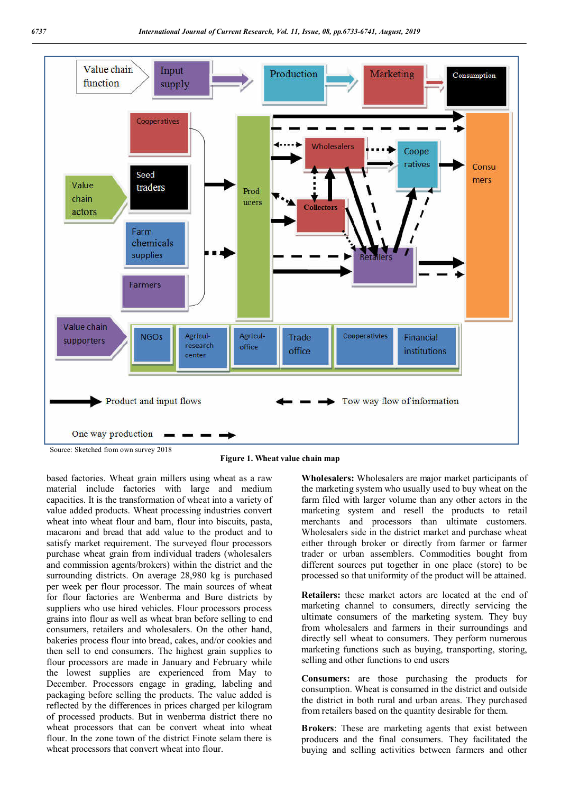

**Figure 1. Wheat value chain map**

based factories. Wheat grain millers using wheat as a raw material include factories with large and medium capacities. It is the transformation of wheat into a variety of value added products. Wheat processing industries convert wheat into wheat flour and barn, flour into biscuits, pasta, macaroni and bread that add value to the product and to satisfy market requirement. The surveyed flour processors purchase wheat grain from individual traders (wholesalers and commission agents/brokers) within the district and the surrounding districts. On average 28,980 kg is purchased per week per flour processor. The main sources of wheat for flour factories are Wenberma and Bure districts by suppliers who use hired vehicles. Flour processors process grains into flour as well as wheat bran before selling to end consumers, retailers and wholesalers. On the other hand, bakeries process flour into bread, cakes, and/or cookies and then sell to end consumers. The highest grain supplies to flour processors are made in January and February while the lowest supplies are experienced from May to December. Processors engage in grading, labeling and packaging before selling the products. The value added is reflected by the differences in prices charged per kilogram of processed products. But in wenberma district there no wheat processors that can be convert wheat into wheat flour. In the zone town of the district Finote selam there is wheat processors that convert wheat into flour.

**Wholesalers:** Wholesalers are major market participants of the marketing system who usually used to buy wheat on the farm filed with larger volume than any other actors in the marketing system and resell the products to retail merchants and processors than ultimate customers. Wholesalers side in the district market and purchase wheat either through broker or directly from farmer or farmer trader or urban assemblers. Commodities bought from different sources put together in one place (store) to be processed so that uniformity of the product will be attained.

**Retailers:** these market actors are located at the end of marketing channel to consumers, directly servicing the ultimate consumers of the marketing system. They buy from wholesalers and farmers in their surroundings and directly sell wheat to consumers. They perform numerous marketing functions such as buying, transporting, storing, selling and other functions to end users

**Consumers:** are those purchasing the products for consumption. Wheat is consumed in the district and outside the district in both rural and urban areas. They purchased from retailers based on the quantity desirable for them.

**Brokers**: These are marketing agents that exist between producers and the final consumers. They facilitated the buying and selling activities between farmers and other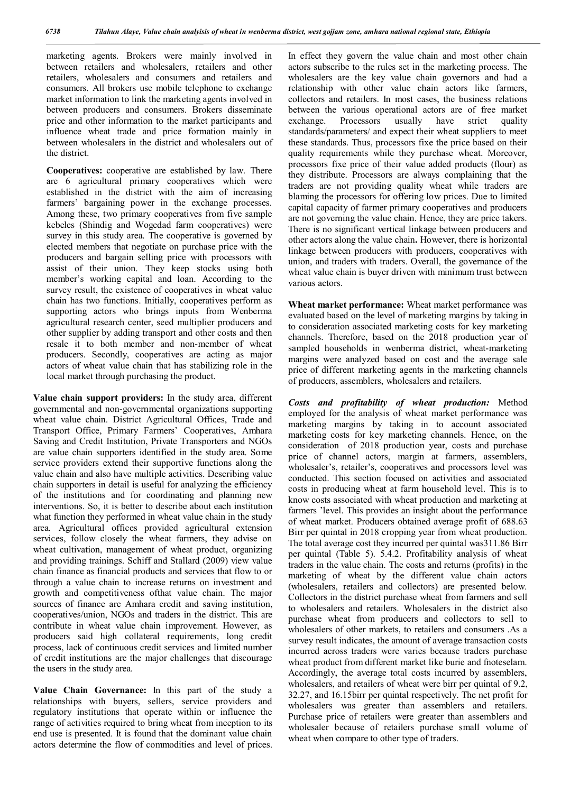marketing agents. Brokers were mainly involved in between retailers and wholesalers, retailers and other retailers, wholesalers and consumers and retailers and consumers. All brokers use mobile telephone to exchange market information to link the marketing agents involved in between producers and consumers. Brokers disseminate price and other information to the market participants and influence wheat trade and price formation mainly in between wholesalers in the district and wholesalers out of the district.

**Cooperatives:** cooperative are established by law. There are 6 agricultural primary cooperatives which were established in the district with the aim of increasing farmers' bargaining power in the exchange processes. Among these, two primary cooperatives from five sample kebeles (Shindig and Wogedad farm cooperatives) were survey in this study area. The cooperative is governed by elected members that negotiate on purchase price with the producers and bargain selling price with processors with assist of their union. They keep stocks using both member's working capital and loan. According to the survey result, the existence of cooperatives in wheat value chain has two functions. Initially, cooperatives perform as supporting actors who brings inputs from Wenberma agricultural research center, seed multiplier producers and other supplier by adding transport and other costs and then resale it to both member and non-member of wheat producers. Secondly, cooperatives are acting as major actors of wheat value chain that has stabilizing role in the local market through purchasing the product.

**Value chain support providers:** In the study area, different governmental and non-governmental organizations supporting wheat value chain. District Agricultural Offices, Trade and Transport Office, Primary Farmers' Cooperatives, Amhara Saving and Credit Institution, Private Transporters and NGOs are value chain supporters identified in the study area. Some service providers extend their supportive functions along the value chain and also have multiple activities. Describing value chain supporters in detail is useful for analyzing the efficiency of the institutions and for coordinating and planning new interventions. So, it is better to describe about each institution what function they performed in wheat value chain in the study area. Agricultural offices provided agricultural extension services, follow closely the wheat farmers, they advise on wheat cultivation, management of wheat product, organizing and providing trainings. Schiff and Stallard (2009) view value chain finance as financial products and services that flow to or through a value chain to increase returns on investment and growth and competitiveness ofthat value chain. The major sources of finance are Amhara credit and saving institution, cooperatives/union, NGOs and traders in the district. This are contribute in wheat value chain improvement. However, as producers said high collateral requirements, long credit process, lack of continuous credit services and limited number of credit institutions are the major challenges that discourage the users in the study area.

**Value Chain Governance:** In this part of the study a relationships with buyers, sellers, service providers and regulatory institutions that operate within or influence the range of activities required to bring wheat from inception to its end use is presented. It is found that the dominant value chain actors determine the flow of commodities and level of prices.

In effect they govern the value chain and most other chain actors subscribe to the rules set in the marketing process. The wholesalers are the key value chain governors and had a relationship with other value chain actors like farmers, collectors and retailers. In most cases, the business relations between the various operational actors are of free market exchange. Processors usually have strict quality standards/parameters/ and expect their wheat suppliers to meet these standards. Thus, processors fixe the price based on their quality requirements while they purchase wheat. Moreover, processors fixe price of their value added products (flour) as they distribute. Processors are always complaining that the traders are not providing quality wheat while traders are blaming the processors for offering low prices. Due to limited capital capacity of farmer primary cooperatives and producers are not governing the value chain. Hence, they are price takers. There is no significant vertical linkage between producers and other actors along the value chain**.** However, there is horizontal linkage between producers with producers, cooperatives with union, and traders with traders. Overall, the governance of the wheat value chain is buyer driven with minimum trust between various actors.

**Wheat market performance:** Wheat market performance was evaluated based on the level of marketing margins by taking in to consideration associated marketing costs for key marketing channels. Therefore, based on the 2018 production year of sampled households in wenberma district, wheat-marketing margins were analyzed based on cost and the average sale price of different marketing agents in the marketing channels of producers, assemblers, wholesalers and retailers.

*Costs and profitability of wheat production:* Method employed for the analysis of wheat market performance was marketing margins by taking in to account associated marketing costs for key marketing channels. Hence, on the consideration of 2018 production year, costs and purchase price of channel actors, margin at farmers, assemblers, wholesaler's, retailer's, cooperatives and processors level was conducted. This section focused on activities and associated costs in producing wheat at farm household level. This is to know costs associated with wheat production and marketing at farmers 'level. This provides an insight about the performance of wheat market. Producers obtained average profit of 688.63 Birr per quintal in 2018 cropping year from wheat production. The total average cost they incurred per quintal was311.86 Birr per quintal (Table 5). 5.4.2. Profitability analysis of wheat traders in the value chain. The costs and returns (profits) in the marketing of wheat by the different value chain actors (wholesalers, retailers and collectors) are presented below. Collectors in the district purchase wheat from farmers and sell to wholesalers and retailers. Wholesalers in the district also purchase wheat from producers and collectors to sell to wholesalers of other markets, to retailers and consumers .As a survey result indicates, the amount of average transaction costs incurred across traders were varies because traders purchase wheat product from different market like burie and fnoteselam. Accordingly, the average total costs incurred by assemblers, wholesalers, and retailers of wheat were birr per quintal of 9.2, 32.27, and 16.15birr per quintal respectively. The net profit for wholesalers was greater than assemblers and retailers. Purchase price of retailers were greater than assemblers and wholesaler because of retailers purchase small volume of wheat when compare to other type of traders.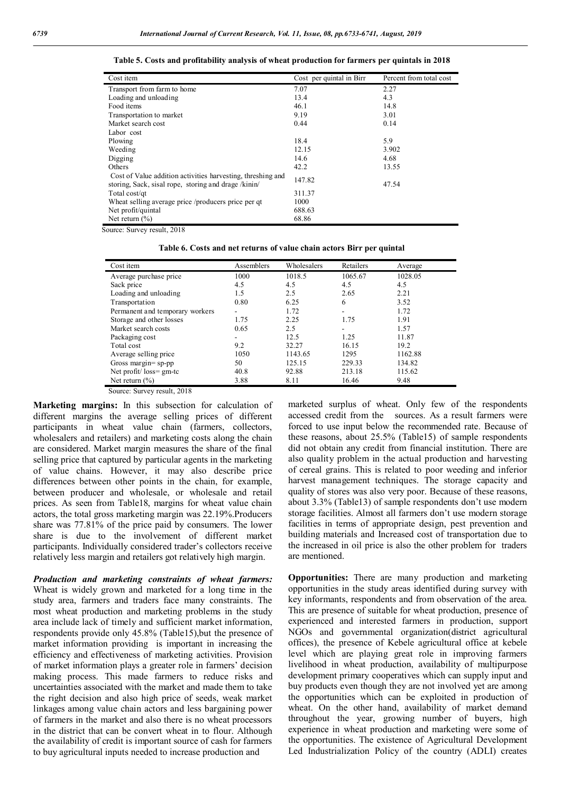| Cost item                                                                                                           | Cost per quintal in Birr | Percent from total cost |
|---------------------------------------------------------------------------------------------------------------------|--------------------------|-------------------------|
| Transport from farm to home                                                                                         | 7.07                     | 2.27                    |
| Loading and unloading                                                                                               | 13.4                     | 4.3                     |
| Food items                                                                                                          | 46.1                     | 14.8                    |
| Transportation to market                                                                                            | 9.19                     | 3.01                    |
| Market search cost                                                                                                  | 0.44                     | 0.14                    |
| Labor cost                                                                                                          |                          |                         |
| Plowing                                                                                                             | 18.4                     | 5.9                     |
| Weeding                                                                                                             | 12.15                    | 3.902                   |
| Digging                                                                                                             | 14.6                     | 4.68                    |
| Others                                                                                                              | 42.2                     | 13.55                   |
| Cost of Value addition activities harvesting, threshing and<br>storing, Sack, sisal rope, storing and drage /kinin/ | 147.82                   | 47.54                   |
| Total cost/qt                                                                                                       | 311.37                   |                         |
| Wheat selling average price /producers price per qt                                                                 | 1000                     |                         |
| Net profit/quintal                                                                                                  | 688.63                   |                         |
| Net return $(\% )$                                                                                                  | 68.86                    |                         |

**Table 5. Costs and profitability analysis of wheat production for farmers per quintals in 2018**

Source: Survey result, 2018

**Table 6. Costs and net returns of value chain actors Birr per quintal**

| Cost item                       | Assemblers | Wholesalers | Retailers      | Average |
|---------------------------------|------------|-------------|----------------|---------|
| Average purchase price          | 1000       | 1018.5      | 1065.67        | 1028.05 |
| Sack price                      | 4.5        | 4.5         | 4.5            | 4.5     |
| Loading and unloading           | 1.5        | 2.5         | 2.65           | 2.21    |
| Transportation                  | 0.80       | 6.25        | 6              | 3.52    |
| Permanent and temporary workers | ۰          | 1.72        |                | 1.72    |
| Storage and other losses        | 1.75       | 2.25        | 1.75           | 1.91    |
| Market search costs             | 0.65       | 2.5         | $\blacksquare$ | 1.57    |
| Packaging cost                  |            | 12.5        | 1.25           | 11.87   |
| Total cost                      | 9.2        | 32.27       | 16.15          | 19.2    |
| Average selling price           | 1050       | 1143.65     | 1295           | 1162.88 |
| Gross margin= $sp$ -pp          | 50         | 125.15      | 229.33         | 134.82  |
| Net profit/ $loss = gm-tc$      | 40.8       | 92.88       | 213.18         | 115.62  |
| Net return $(\% )$              | 3.88       | 8.11        | 16.46          | 9.48    |

Source: Survey result, 2018

**Marketing margins:** In this subsection for calculation of different margins the average selling prices of different participants in wheat value chain (farmers, collectors, wholesalers and retailers) and marketing costs along the chain are considered. Market margin measures the share of the final selling price that captured by particular agents in the marketing of value chains. However, it may also describe price differences between other points in the chain, for example, between producer and wholesale, or wholesale and retail prices. As seen from Table18, margins for wheat value chain actors, the total gross marketing margin was 22.19%.Producers share was 77.81% of the price paid by consumers. The lower share is due to the involvement of different market participants. Individually considered trader's collectors receive relatively less margin and retailers got relatively high margin.

*Production and marketing constraints of wheat farmers:* Wheat is widely grown and marketed for a long time in the study area, farmers and traders face many constraints. The most wheat production and marketing problems in the study area include lack of timely and sufficient market information, respondents provide only 45.8% (Table15),but the presence of market information providing is important in increasing the efficiency and effectiveness of marketing activities. Provision of market information plays a greater role in farmers' decision making process. This made farmers to reduce risks and uncertainties associated with the market and made them to take the right decision and also high price of seeds, weak market linkages among value chain actors and less bargaining power of farmers in the market and also there is no wheat processors in the district that can be convert wheat in to flour. Although the availability of credit is important source of cash for farmers to buy agricultural inputs needed to increase production and

marketed surplus of wheat. Only few of the respondents accessed credit from the sources. As a result farmers were forced to use input below the recommended rate. Because of these reasons, about 25.5% (Table15) of sample respondents did not obtain any credit from financial institution. There are also quality problem in the actual production and harvesting of cereal grains. This is related to poor weeding and inferior harvest management techniques. The storage capacity and quality of stores was also very poor. Because of these reasons, about 3.3% (Table13) of sample respondents don't use modern storage facilities. Almost all farmers don't use modern storage facilities in terms of appropriate design, pest prevention and building materials and Increased cost of transportation due to the increased in oil price is also the other problem for traders are mentioned.

**Opportunities:** There are many production and marketing opportunities in the study areas identified during survey with key informants, respondents and from observation of the area. This are presence of suitable for wheat production, presence of experienced and interested farmers in production, support NGOs and governmental organization(district agricultural offices), the presence of Kebele agricultural office at kebele level which are playing great role in improving farmers livelihood in wheat production, availability of multipurpose development primary cooperatives which can supply input and buy products even though they are not involved yet are among the opportunities which can be exploited in production of wheat. On the other hand, availability of market demand throughout the year, growing number of buyers, high experience in wheat production and marketing were some of the opportunities. The existence of Agricultural Development Led Industrialization Policy of the country (ADLI) creates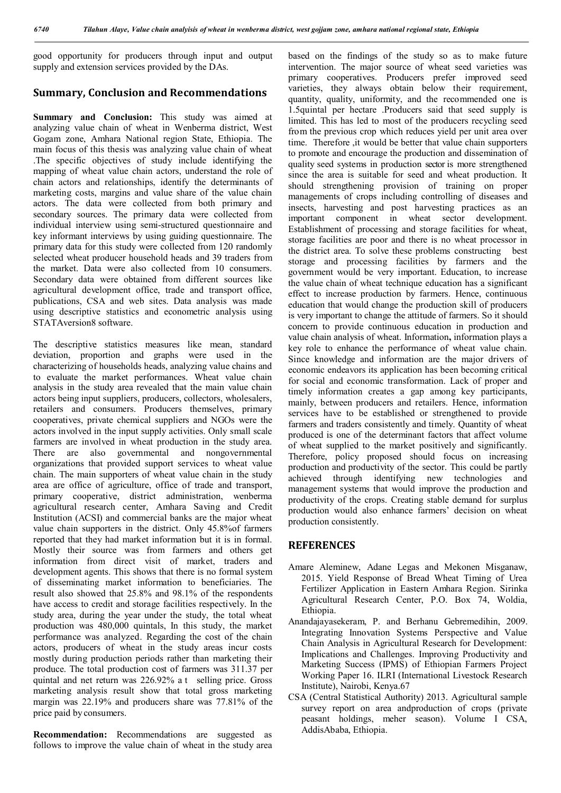good opportunity for producers through input and output supply and extension services provided by the DAs.

## **Summary, Conclusion and Recommendations**

**Summary and Conclusion:** This study was aimed at analyzing value chain of wheat in Wenberma district, West Gogam zone, Amhara National region State, Ethiopia. The main focus of this thesis was analyzing value chain of wheat .The specific objectives of study include identifying the mapping of wheat value chain actors, understand the role of chain actors and relationships, identify the determinants of marketing costs, margins and value share of the value chain actors. The data were collected from both primary and secondary sources. The primary data were collected from individual interview using semi-structured questionnaire and key informant interviews by using guiding questionnaire. The primary data for this study were collected from 120 randomly selected wheat producer household heads and 39 traders from the market. Data were also collected from 10 consumers. Secondary data were obtained from different sources like agricultural development office, trade and transport office, publications, CSA and web sites. Data analysis was made using descriptive statistics and econometric analysis using STATAversion8 software.

The descriptive statistics measures like mean, standard deviation, proportion and graphs were used in the characterizing of households heads, analyzing value chains and to evaluate the market performances. Wheat value chain analysis in the study area revealed that the main value chain actors being input suppliers, producers, collectors, wholesalers, retailers and consumers. Producers themselves, primary cooperatives, private chemical suppliers and NGOs were the actors involved in the input supply activities. Only small scale farmers are involved in wheat production in the study area. There are also governmental and nongovernmental organizations that provided support services to wheat value chain. The main supporters of wheat value chain in the study area are office of agriculture, office of trade and transport, primary cooperative, district administration, wenberma agricultural research center, Amhara Saving and Credit Institution (ACSI) and commercial banks are the major wheat value chain supporters in the district. Only 45.8%of farmers reported that they had market information but it is in formal. Mostly their source was from farmers and others get information from direct visit of market, traders and development agents. This shows that there is no formal system of disseminating market information to beneficiaries. The result also showed that 25.8% and 98.1% of the respondents have access to credit and storage facilities respectively. In the study area, during the year under the study, the total wheat production was 480,000 quintals, In this study, the market performance was analyzed. Regarding the cost of the chain actors, producers of wheat in the study areas incur costs mostly during production periods rather than marketing their produce. The total production cost of farmers was 311.37 per quintal and net return was 226.92% a t selling price. Gross marketing analysis result show that total gross marketing margin was 22.19% and producers share was 77.81% of the price paid by consumers.

**Recommendation:** Recommendations are suggested as follows to improve the value chain of wheat in the study area based on the findings of the study so as to make future intervention. The major source of wheat seed varieties was primary cooperatives. Producers prefer improved seed varieties, they always obtain below their requirement, quantity, quality, uniformity, and the recommended one is 1.5quintal per hectare .Producers said that seed supply is limited. This has led to most of the producers recycling seed from the previous crop which reduces yield per unit area over time. Therefore ,it would be better that value chain supporters to promote and encourage the production and dissemination of quality seed systems in production sector is more strengthened since the area is suitable for seed and wheat production. It should strengthening provision of training on proper managements of crops including controlling of diseases and insects, harvesting and post harvesting practices as an important component in wheat sector development. Establishment of processing and storage facilities for wheat, storage facilities are poor and there is no wheat processor in the district area. To solve these problems constructing best storage and processing facilities by farmers and the government would be very important. Education, to increase the value chain of wheat technique education has a significant effect to increase production by farmers. Hence, continuous education that would change the production skill of producers is very important to change the attitude of farmers. So it should concern to provide continuous education in production and value chain analysis of wheat. Information**,** information plays a key role to enhance the performance of wheat value chain. Since knowledge and information are the major drivers of economic endeavors its application has been becoming critical for social and economic transformation. Lack of proper and timely information creates a gap among key participants, mainly, between producers and retailers. Hence, information services have to be established or strengthened to provide farmers and traders consistently and timely. Quantity of wheat produced is one of the determinant factors that affect volume of wheat supplied to the market positively and significantly. Therefore, policy proposed should focus on increasing production and productivity of the sector. This could be partly achieved through identifying new technologies and management systems that would improve the production and productivity of the crops. Creating stable demand for surplus production would also enhance farmers' decision on wheat production consistently.

### **REFERENCES**

- Amare Aleminew, Adane Legas and Mekonen Misganaw, 2015. Yield Response of Bread Wheat Timing of Urea Fertilizer Application in Eastern Amhara Region. Sirinka Agricultural Research Center, P.O. Box 74, Woldia, Ethiopia.
- Anandajayasekeram, P. and Berhanu Gebremedihin, 2009. Integrating Innovation Systems Perspective and Value Chain Analysis in Agricultural Research for Development: Implications and Challenges. Improving Productivity and Marketing Success (IPMS) of Ethiopian Farmers Project Working Paper 16. ILRI (International Livestock Research Institute), Nairobi, Kenya.67
- CSA (Central Statistical Authority) 2013. Agricultural sample survey report on area andproduction of crops (private peasant holdings, meher season). Volume I CSA, AddisAbaba, Ethiopia.